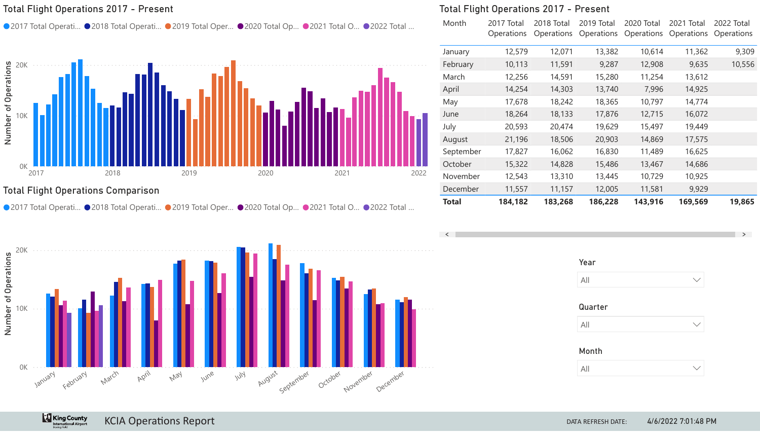# Total Flight Operations Comparison

**King County** 



KCIA Operations Report **DATA REFRESH DATE:** 



|                                  |           | <b>Total Flight Operations 2017 - Present</b> |                                 |                                 |                                 |                                 |                                 |
|----------------------------------|-----------|-----------------------------------------------|---------------------------------|---------------------------------|---------------------------------|---------------------------------|---------------------------------|
| ● 2022 Total                     | Month     | 2017 Total<br><b>Operations</b>               | 2018 Total<br><b>Operations</b> | 2019 Total<br><b>Operations</b> | 2020 Total<br><b>Operations</b> | 2021 Total<br><b>Operations</b> | 2022 Total<br><b>Operations</b> |
|                                  | January   | 12,579                                        | 12,071                          | 13,382                          | 10,614                          | 11,362                          | 9,309                           |
|                                  | February  | 10,113                                        | 11,591                          | 9,287                           | 12,908                          | 9,635                           | 10,556                          |
|                                  | March     | 12,256                                        | 14,591                          | 15,280                          | 11,254                          | 13,612                          |                                 |
|                                  | April     | 14,254                                        | 14,303                          | 13,740                          | 7,996                           | 14,925                          |                                 |
|                                  | May       | 17,678                                        | 18,242                          | 18,365                          | 10,797                          | 14,774                          |                                 |
|                                  | June      | 18,264                                        | 18,133                          | 17,876                          | 12,715                          | 16,072                          |                                 |
|                                  | July      | 20,593                                        | 20,474                          | 19,629                          | 15,497                          | 19,449                          |                                 |
|                                  | August    | 21,196                                        | 18,506                          | 20,903                          | 14,869                          | 17,575                          |                                 |
|                                  | September | 17,827                                        | 16,062                          | 16,830                          | 11,489                          | 16,625                          |                                 |
|                                  | October   | 15,322                                        | 14,828                          | 15,486                          | 13,467                          | 14,686                          |                                 |
| 2022                             | November  | 12,543                                        | 13,310                          | 13,445                          | 10,729                          | 10,925                          |                                 |
|                                  | December  | 11,557                                        | 11,157                          | 12,005                          | 11,581                          | 9,929                           |                                 |
| $\bullet \land \land \land \top$ | Total     | 184,182                                       | 183,268                         | 186,228                         | 143,916                         | 169,569                         | 19,865                          |

| 2022 Total<br>Operations |
|--------------------------|
| 9,309                    |
| 10,556                   |
|                          |
|                          |
|                          |
|                          |
|                          |
|                          |
|                          |
|                          |
|                          |
|                          |
| 19,865                   |
|                          |
|                          |

# Total Flight Operations 2017 - Present

● 2017 Total Operati... ● 2018 Total Operati... ● 2019 Total Oper... ● 2020 Total Op... ● 2021 Total O..



| Year         |  |
|--------------|--|
| All          |  |
| Quarter      |  |
| All          |  |
| <b>Month</b> |  |
| All          |  |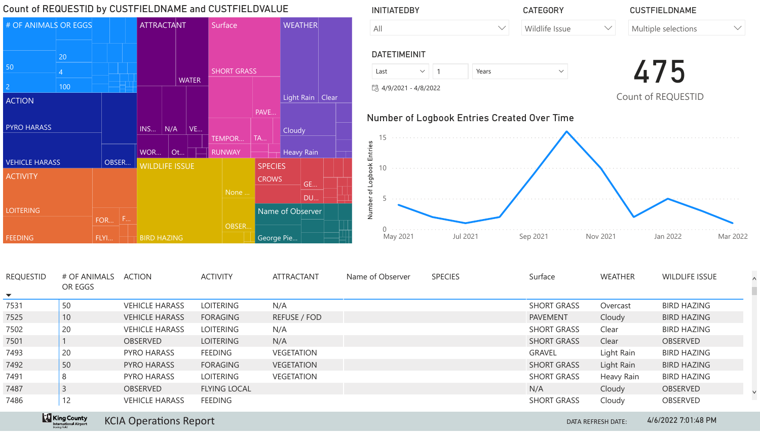

# Count of REQUESTID by CUSTFIELDNAME and CUSTFIELDVALUE



| Count of REQUESTID by CUSTFIELDNAME and CUSTFIELDVALUE                                        |                         |                                    |                                                                              |                 |                                          | <b>INITIATEDBY</b>                                                                                                                      |                       |                 | <b>CATEGORY</b> | <b>CUSTFIELDNAME</b>                                           |                    |                       |            |
|-----------------------------------------------------------------------------------------------|-------------------------|------------------------------------|------------------------------------------------------------------------------|-----------------|------------------------------------------|-----------------------------------------------------------------------------------------------------------------------------------------|-----------------------|-----------------|-----------------|----------------------------------------------------------------|--------------------|-----------------------|------------|
| # OF ANIMALS OR EGGS                                                                          |                         |                                    | <b>ATTRACTANT</b>                                                            |                 | Surface                                  | <b>WEATHER</b>                                                                                                                          | All                   |                 | $\searrow$      | Wildlife Issue                                                 | $\checkmark$       | Multiple selections   | $\searrow$ |
|                                                                                               | 20                      |                                    |                                                                              |                 |                                          |                                                                                                                                         | <b>DATETIMEINIT</b>   |                 |                 |                                                                |                    |                       |            |
| 50                                                                                            |                         |                                    |                                                                              |                 | <b>SHORT GRASS</b>                       |                                                                                                                                         | Last                  | $\sim$ $\mid$ 1 | Years           | $\checkmark$                                                   |                    | 475                   |            |
|                                                                                               | 100                     |                                    |                                                                              | <b>WATER</b>    |                                          |                                                                                                                                         | 最 4/9/2021 - 4/8/2022 |                 |                 |                                                                |                    |                       |            |
| <b>ACTION</b>                                                                                 |                         |                                    |                                                                              |                 |                                          | Light Rain   Clear                                                                                                                      |                       |                 |                 |                                                                |                    | Count of REQUESTID    |            |
| <b>PYRO HARASS</b><br>VEHICLE HARASS<br><b>ACTIVITY</b><br><b>LOITERING</b><br><b>FEEDING</b> |                         | OBSER<br><b>F.A</b><br>FOR<br>FLYI | $\mid N/A \mid$<br>INS<br>WOR<br><b>WILDLIFE ISSUE</b><br><b>BIRD HAZING</b> | <b>VE</b><br>Ot | TEMPOR<br><b>RUNWAY</b><br>None<br>OBSER | <b>PAVE</b><br>Cloudy<br><b>TA</b><br>Heavy Rain<br><b>SPECIES</b><br><b>CROWS</b><br><b>GE</b><br>DU<br>Name of Observer<br>George Pie | $\vec{z}$<br>May 2021 |                 | <b>Jul 2021</b> | <b>Number of Logbook Entries Created Over Time</b><br>Sep 2021 | <b>Nov 2021</b>    | Jan 2022              | Mar 20     |
| <b>REQUESTID</b><br>$\blacktriangledown$                                                      | # OF ANIMALS<br>OR EGGS |                                    | <b>ACTION</b>                                                                |                 | <b>ACTIVITY</b>                          | <b>ATTRACTANT</b>                                                                                                                       | Name of Observer      | <b>SPECIES</b>  |                 | Surface                                                        | <b>WEATHER</b>     | <b>WILDLIFE ISSUE</b> |            |
| 7531                                                                                          | 50                      |                                    | <b>VEHICLE HARASS</b>                                                        |                 | <b>LOITERING</b>                         | N/A                                                                                                                                     |                       |                 |                 | <b>SHORT GRASS</b>                                             | Overcast           | <b>BIRD HAZING</b>    |            |
| 7525                                                                                          | 10                      |                                    | <b>VEHICLE HARASS</b>                                                        |                 | <b>FORAGING</b>                          | REFUSE / FOD                                                                                                                            |                       |                 |                 | <b>PAVEMENT</b>                                                | Cloudy             | <b>BIRD HAZING</b>    |            |
| 7502                                                                                          | 20                      |                                    | <b>VEHICLE HARASS</b>                                                        |                 | LOITERING                                | N/A                                                                                                                                     |                       |                 |                 | <b>SHORT GRASS</b>                                             | Clear              | <b>BIRD HAZING</b>    |            |
| 7501                                                                                          |                         |                                    | <b>OBSERVED</b>                                                              |                 | <b>LOITERING</b>                         | N/A                                                                                                                                     |                       |                 |                 | <b>SHORT GRASS</b>                                             | Clear              | OBSERVED              |            |
| 7493                                                                                          | 20                      |                                    | <b>PYRO HARASS</b>                                                           |                 | <b>FEEDING</b>                           | <b>VEGETATION</b>                                                                                                                       |                       |                 |                 | <b>GRAVEL</b>                                                  | Light Rain         | <b>BIRD HAZING</b>    |            |
| 7492                                                                                          | 50                      |                                    | PYRO HARASS                                                                  |                 | <b>FORAGING</b>                          | <b>VEGETATION</b>                                                                                                                       |                       |                 |                 | <b>SHORT GRASS</b>                                             | Light Rain         | <b>BIRD HAZING</b>    |            |
| 7491                                                                                          | 8                       |                                    | <b>PYRO HARASS</b>                                                           |                 | LOITERING                                | <b>VEGETATION</b>                                                                                                                       |                       |                 |                 | <b>SHORT GRASS</b>                                             | <b>Heavy Rain</b>  | <b>BIRD HAZING</b>    |            |
| 7487                                                                                          | $\overline{3}$          |                                    | OBSERVED                                                                     |                 | <b>FLYING LOCAL</b>                      |                                                                                                                                         |                       |                 |                 | N/A                                                            | Cloudy             | OBSERVED              |            |
| 7486                                                                                          | 12                      |                                    | <b>VEHICLE HARASS</b>                                                        |                 | <b>FEEDING</b>                           |                                                                                                                                         |                       |                 |                 | <b>SHORT GRASS</b>                                             | Cloudy             | <b>OBSERVED</b>       |            |
|                                                                                               | <b>King County</b>      |                                    | <b>KCIA Operations Report</b>                                                |                 |                                          |                                                                                                                                         |                       |                 |                 |                                                                | DATA REFRESH DATE: | 4/6/2022 7:01:48 PM   |            |

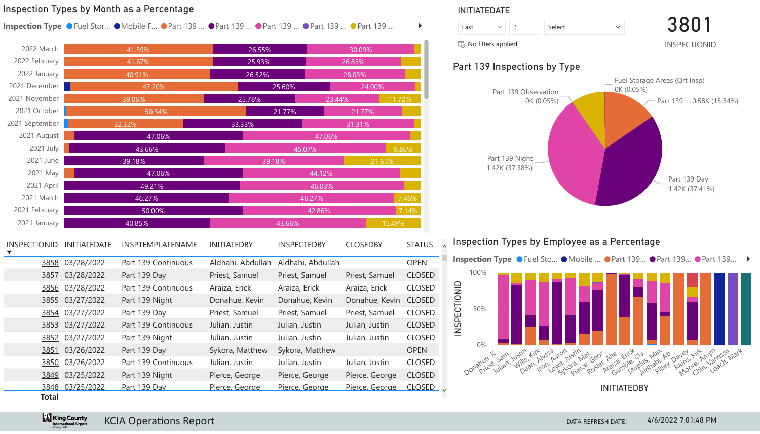# Inspection Types by Month as a Percentage

**Inspection Type ● Fuel Stor... ● Mobile F... ● Part 139 ... ● Part 139 ... ● Part 139 ... ● Part 139 ... ● Part 139 ...** 



| 2022 March          |                                                | 41.59%              | 26.55%             |                                  | 30.09%          |               |  |  |  |  |  |
|---------------------|------------------------------------------------|---------------------|--------------------|----------------------------------|-----------------|---------------|--|--|--|--|--|
| 2022 February       |                                                | 41.67%              | 25.93%             |                                  | 26.85%          |               |  |  |  |  |  |
| 2022 January        |                                                | 40.91%              | 26.52%             |                                  | 28.03%          |               |  |  |  |  |  |
| 2021 December       |                                                | 47.20%              |                    | 25.60%                           | 24.00%          |               |  |  |  |  |  |
| 2021 November       |                                                | 39.06%              | 25.78%             | 23.44%                           | 11.72%          |               |  |  |  |  |  |
| 2021 October        |                                                | 50.34%              |                    | 21.77%<br>21.77%                 |                 |               |  |  |  |  |  |
| 2021 September      |                                                | 32.32%              | 33.33%             | 31.31%                           |                 |               |  |  |  |  |  |
| 2021 August         |                                                | 47.06%              |                    | 47.06%                           |                 |               |  |  |  |  |  |
| 2021 July           |                                                | 43.66%              |                    | 45.07%                           |                 | 9.86%         |  |  |  |  |  |
| 2021 June           |                                                | 39.18%              |                    | 39.18%                           | 21.65%          |               |  |  |  |  |  |
| 2021 May            |                                                | 47.06%              |                    | 44.12%                           |                 |               |  |  |  |  |  |
| 2021 April          |                                                | 49.21%              |                    | 46.03%                           |                 |               |  |  |  |  |  |
| 2021 March          |                                                | 46.27%              |                    | 46.27%                           |                 | 7.46%         |  |  |  |  |  |
| 2021 February       |                                                | 50.00%              |                    | 7.14%<br>42.86%                  |                 |               |  |  |  |  |  |
| 2021 January        |                                                | 40.85%              |                    | 43.66%<br>15.49%                 |                 |               |  |  |  |  |  |
| <b>INSPECTIONID</b> | <b>INITIATEDATE</b><br><b>INSPTEMPLATENAME</b> |                     | <b>INITIATEDBY</b> | <b>INSPECTEDBY</b>               | <b>CLOSEDBY</b> | <b>STATUS</b> |  |  |  |  |  |
| 3858                | 03/28/2022                                     | Part 139 Continuous | Aldhahi, Abdullah  | Aldhahi, Abdullah                |                 | <b>OPEN</b>   |  |  |  |  |  |
| <u>3857</u>         | 03/28/2022                                     | Part 139 Day        | Priest, Samuel     | Priest, Samuel                   | Priest, Samuel  | <b>CLOSED</b> |  |  |  |  |  |
| 3856                | 03/28/2022                                     | Part 139 Continuous | Araiza, Erick      | Araiza, Erick                    | Araiza, Erick   | <b>CLOSED</b> |  |  |  |  |  |
| <u>3855</u>         | 03/27/2022                                     | Part 139 Night      | Donahue, Kevin     | Donahue, Kevin                   | Donahue, Kevin  | <b>CLOSED</b> |  |  |  |  |  |
| <u>3854</u>         | 03/27/2022                                     | Part 139 Day        | Priest, Samuel     | Priest, Samuel                   | Priest, Samuel  | <b>CLOSED</b> |  |  |  |  |  |
| 3853                | 03/27/2022                                     | Part 139 Continuous | Julian, Justin     | Julian, Justin                   | Julian, Justin  | <b>CLOSED</b> |  |  |  |  |  |
| <u>3852</u>         | 03/27/2022                                     | Part 139 Night      | Julian, Justin     | Julian, Justin<br>Julian, Justin |                 |               |  |  |  |  |  |
| <u>3851</u>         | 03/26/2022                                     | Part 139 Day        | Sykora, Matthew    | Sykora, Matthew                  |                 | <b>OPEN</b>   |  |  |  |  |  |
| 3850                | 03/26/2022                                     | Part 139 Continuous | Julian, Justin     | Julian, Justin                   | Julian, Justin  | <b>CLOSED</b> |  |  |  |  |  |
| 3849                | 03/25/2022                                     | Part 139 Night      | Pierce, George     | Pierce, George                   | Pierce, George  | <b>CLOSED</b> |  |  |  |  |  |
| <b>Total</b>        | 3848 03/25/2022                                | Part 139 Dav        | Pierce, George     | Pierce, George                   | Pierce, George  | <b>CLOSED</b> |  |  |  |  |  |

# KCIA Operations Report DATA REFRESH DATE:

**King County** 



**INITIATEDBY**